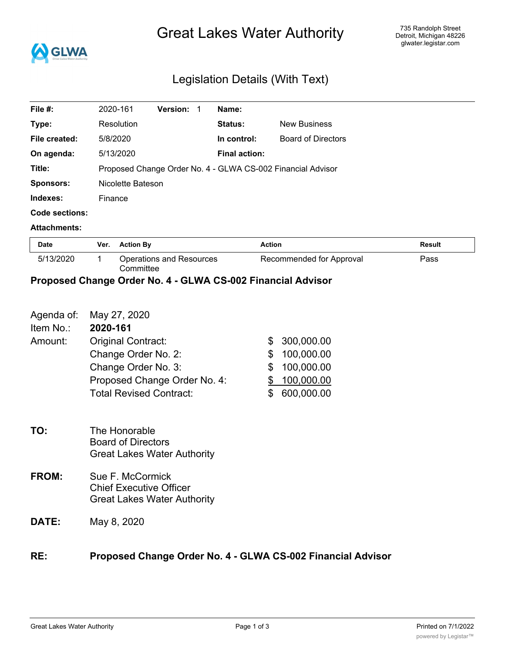

# Great Lakes Water Authority

## Legislation Details (With Text)

| File #:             | 2020-161                                                    |                  | Version: |  | Name:                |                           |               |
|---------------------|-------------------------------------------------------------|------------------|----------|--|----------------------|---------------------------|---------------|
| Type:               |                                                             | Resolution       |          |  | Status:              | <b>New Business</b>       |               |
| File created:       | 5/8/2020                                                    |                  |          |  | In control:          | <b>Board of Directors</b> |               |
| On agenda:          | 5/13/2020                                                   |                  |          |  | <b>Final action:</b> |                           |               |
| Title:              | Proposed Change Order No. 4 - GLWA CS-002 Financial Advisor |                  |          |  |                      |                           |               |
| <b>Sponsors:</b>    | Nicolette Bateson                                           |                  |          |  |                      |                           |               |
| Indexes:            | Finance                                                     |                  |          |  |                      |                           |               |
| Code sections:      |                                                             |                  |          |  |                      |                           |               |
| <b>Attachments:</b> |                                                             |                  |          |  |                      |                           |               |
| <b>Date</b>         | Ver.                                                        | <b>Action By</b> |          |  | <b>Action</b>        |                           | <b>Result</b> |

5/13/2020 1 Operations and Resources Recommended for Approval Pass

#### **Committee Proposed Change Order No. 4 - GLWA CS-002 Financial Advisor**

| Agenda of:<br>Item No.: | May 27, 2020<br>2020-161                                                                 |                  |  |
|-------------------------|------------------------------------------------------------------------------------------|------------------|--|
| Amount:                 | <b>Original Contract:</b>                                                                | \$<br>300,000.00 |  |
|                         | Change Order No. 2:                                                                      | \$<br>100,000.00 |  |
|                         | Change Order No. 3:                                                                      | \$<br>100,000.00 |  |
|                         | Proposed Change Order No. 4:                                                             | \$<br>100,000.00 |  |
|                         | <b>Total Revised Contract:</b>                                                           | \$<br>600,000.00 |  |
| TO:                     | The Honorable<br><b>Board of Directors</b><br><b>Great Lakes Water Authority</b>         |                  |  |
| FROM:                   | Sue F. McCormick<br><b>Chief Executive Officer</b><br><b>Great Lakes Water Authority</b> |                  |  |
| DATE:                   | May 8, 2020                                                                              |                  |  |
| RE:                     | Proposed Change Order No. 4 - GLWA CS-002 Financial Advisor                              |                  |  |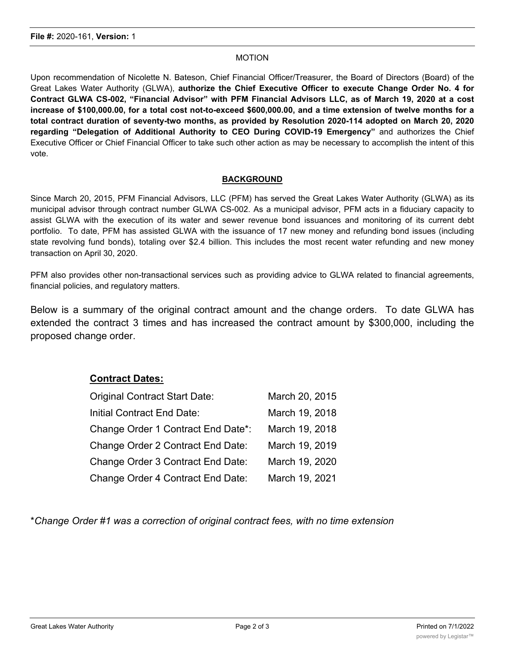#### MOTION

Upon recommendation of Nicolette N. Bateson, Chief Financial Officer/Treasurer, the Board of Directors (Board) of the Great Lakes Water Authority (GLWA), **authorize the Chief Executive Officer to execute Change Order No. 4 for** Contract GLWA CS-002, "Financial Advisor" with PFM Financial Advisors LLC, as of March 19, 2020 at a cost increase of \$100,000.00, for a total cost not-to-exceed \$600,000.00, and a time extension of twelve months for a **total contract duration of seventy-two months, as provided by Resolution 2020-114 adopted on March 20, 2020 regarding "Delegation of Additional Authority to CEO During COVID-19 Emergency"** and authorizes the Chief Executive Officer or Chief Financial Officer to take such other action as may be necessary to accomplish the intent of this vote.

#### **BACKGROUND**

Since March 20, 2015, PFM Financial Advisors, LLC (PFM) has served the Great Lakes Water Authority (GLWA) as its municipal advisor through contract number GLWA CS-002. As a municipal advisor, PFM acts in a fiduciary capacity to assist GLWA with the execution of its water and sewer revenue bond issuances and monitoring of its current debt portfolio. To date, PFM has assisted GLWA with the issuance of 17 new money and refunding bond issues (including state revolving fund bonds), totaling over \$2.4 billion. This includes the most recent water refunding and new money transaction on April 30, 2020.

PFM also provides other non-transactional services such as providing advice to GLWA related to financial agreements, financial policies, and regulatory matters.

Below is a summary of the original contract amount and the change orders. To date GLWA has extended the contract 3 times and has increased the contract amount by \$300,000, including the proposed change order.

### **Contract Dates:**

| <b>Original Contract Start Date:</b> | March 20, 2015 |
|--------------------------------------|----------------|
| Initial Contract End Date:           | March 19, 2018 |
| Change Order 1 Contract End Date*:   | March 19, 2018 |
| Change Order 2 Contract End Date:    | March 19, 2019 |
| Change Order 3 Contract End Date:    | March 19, 2020 |
| Change Order 4 Contract End Date:    | March 19, 2021 |

\**Change Order #1 was a correction of original contract fees, with no time extension*